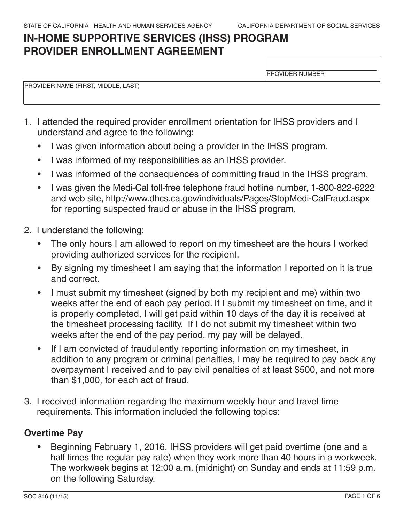# **IN-HOME SUPPORTIVE SERVICES (IHSS) PROGRAM PROVIDER ENROLLMENT AGREEMENT**

PROVIDER NUMBER

PROVIDER NAME (FIRST, MIDDLE, LAST)

- 1. I attended the required provider enrollment orientation for IHSS providers and I understand and agree to the following:
	- I was given information about being a provider in the IHSS program.
	- I was informed of my responsibilities as an IHSS provider.
	- I was informed of the consequences of committing fraud in the IHSS program.
	- I was given the Medi-Cal toll-free telephone fraud hotline number, 1-800-822-6222 and web site,<http://www.dhcs.ca.gov/individuals/Pages/StopMedi-CalFraud.aspx> for reporting suspected fraud or abuse in the IHSS program.
- 2. I understand the following:
	- The only hours I am allowed to report on my timesheet are the hours I worked providing authorized services for the recipient.
	- By signing my timesheet I am saying that the information I reported on it is true and correct.
	- I must submit my timesheet (signed by both my recipient and me) within two weeks after the end of each pay period. If I submit my timesheet on time, and it is properly completed, I will get paid within 10 days of the day it is received at the timesheet processing facility. If I do not submit my timesheet within two weeks after the end of the pay period, my pay will be delayed.
	- If I am convicted of fraudulently reporting information on my timesheet, in addition to any program or criminal penalties, I may be required to pay back any overpayment I received and to pay civil penalties of at least \$500, and not more than \$1,000, for each act of fraud.
- 3. I received information regarding the maximum weekly hour and travel time requirements. This information included the following topics:

# **Overtime Pay**

• Beginning February 1, 2016, IHSS providers will get paid overtime (one and a half times the regular pay rate) when they work more than 40 hours in a workweek. The workweek begins at 12:00 a.m. (midnight) on Sunday and ends at 11:59 p.m. on the following Saturday.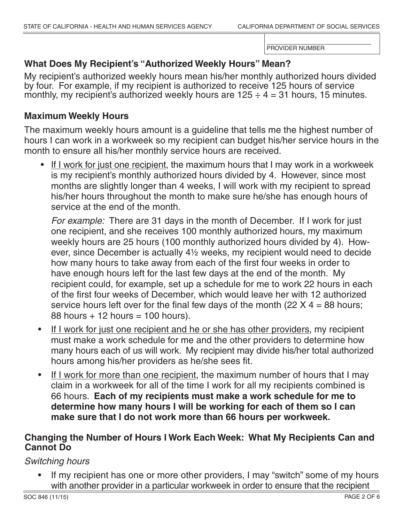# **What Does My Recipient's "Authorized Weekly Hours" Mean?**

My recipient's authorized weekly hours mean his/her monthly authorized hours divided by four. For example, if my recipient is authorized to receive 125 hours of service monthly, my recipient's authorized weekly hours are  $125 \div 4 = 31$  hours, 15 minutes.

# **Maximum Weekly Hours**

The maximum weekly hours amount is a guideline that tells me the highest number of hours I can work in a workweek so my recipient can budget his/her service hours in the month to ensure all his/her monthly service hours are received.

• If I work for just one recipient, the maximum hours that I may work in a workweek is my recipient's monthly authorized hours divided by 4. However, since most months are slightly longer than 4 weeks, I will work with my recipient to spread his/her hours throughout the month to make sure he/she has enough hours of service at the end of the month.

*For example:* There are 31 days in the month of December. If I work for just one recipient, and she receives 100 monthly authorized hours, my maximum weekly hours are 25 hours (100 monthly authorized hours divided by 4). However, since December is actually 4½ weeks, my recipient would need to decide how many hours to take away from each of the first four weeks in order to have enough hours left for the last few days at the end of the month. My recipient could, for example, set up a schedule for me to work 22 hours in each of the first four weeks of December, which would leave her with 12 authorized service hours left over for the final few days of the month (22  $X$  4 = 88 hours;  $88$  hours  $+$  12 hours  $=$  100 hours).

- If I work for just one recipient and he or she has other providers, my recipient must make a work schedule for me and the other providers to determine how many hours each of us will work. My recipient may divide his/her total authorized hours among his/her providers as he/she sees fit.
- If I work for more than one recipient, the maximum number of hours that I may claim in a workweek for all of the time I work for all my recipients combined is 66 hours. **Each of my recipients must make a work schedule for me to determine how many hours I will be working for each of them so I can make sure that I do not work more than 66 hours per workweek.**

# **Changing the Number of Hours I Work Each Week: What My Recipients Can and Cannot Do**

*Switching hours*

If my recipient has one or more other providers, I may "switch" some of my hours with another provider in a particular workweek in order to ensure that the recipient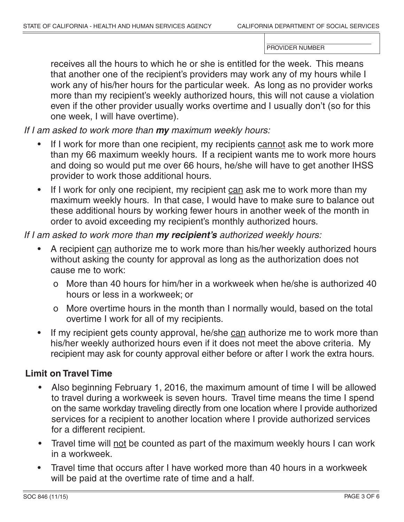receives all the hours to which he or she is entitled for the week. This means that another one of the recipient's providers may work any of my hours while I work any of his/her hours for the particular week. As long as no provider works more than my recipient's weekly authorized hours, this will not cause a violation even if the other provider usually works overtime and I usually don't (so for this one week, I will have overtime).

*If I am asked to work more than my maximum weekly hours:*

- If I work for more than one recipient, my recipients cannot ask me to work more than my 66 maximum weekly hours. If a recipient wants me to work more hours and doing so would put me over 66 hours, he/she will have to get another IHSS provider to work those additional hours.
- If I work for only one recipient, my recipient can ask me to work more than my maximum weekly hours. In that case, I would have to make sure to balance out these additional hours by working fewer hours in another week of the month in order to avoid exceeding my recipient's monthly authorized hours.

#### *If I am asked to work more than my recipient's authorized weekly hours:*

- A recipient can authorize me to work more than his/her weekly authorized hours without asking the county for approval as long as the authorization does not cause me to work:
	- o More than 40 hours for him/her in a workweek when he/she is authorized 40 hours or less in a workweek; or
	- o More overtime hours in the month than I normally would, based on the total overtime I work for all of my recipients.
- If my recipient gets county approval, he/she can authorize me to work more than his/her weekly authorized hours even if it does not meet the above criteria. My recipient may ask for county approval either before or after I work the extra hours.

# **Limit on Travel Time**

- Also beginning February 1, 2016, the maximum amount of time I will be allowed to travel during a workweek is seven hours. Travel time means the time I spend on the same workday traveling directly from one location where I provide authorized services for a recipient to another location where I provide authorized services for a different recipient.
- Travel time will not be counted as part of the maximum weekly hours I can work in a workweek.
- Travel time that occurs after I have worked more than 40 hours in a workweek will be paid at the overtime rate of time and a half.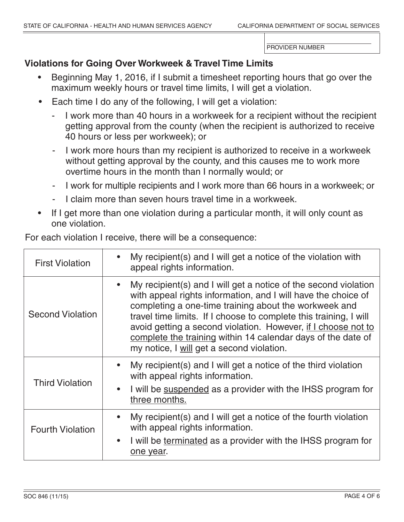# **Violations for Going Over Workweek & Travel Time Limits**

- Beginning May 1, 2016, if I submit a timesheet reporting hours that go over the maximum weekly hours or travel time limits, I will get a violation.
- Each time I do any of the following, I will get a violation:
	- I work more than 40 hours in a workweek for a recipient without the recipient getting approval from the county (when the recipient is authorized to receive 40 hours or less per workweek); or
	- I work more hours than my recipient is authorized to receive in a workweek without getting approval by the county, and this causes me to work more overtime hours in the month than I normally would; or
	- I work for multiple recipients and I work more than 66 hours in a workweek; or
	- I claim more than seven hours travel time in a workweek.
- If I get more than one violation during a particular month, it will only count as one violation.

• My recipient(s) and I will get a notice of the violation with appeal rights information. • My recipient(s) and I will get a notice of the second violation with appeal rights information, and I will have the choice of completing a one-time training about the workweek and travel time limits. If I choose to complete this training, I will avoid getting a second violation. However, if I choose not to complete the training within 14 calendar days of the date of my notice, I will get a second violation. • My recipient(s) and I will get a notice of the third violation with appeal rights information. I will be suspended as a provider with the IHSS program for three months. • My recipient(s) and I will get a notice of the fourth violation with appeal rights information. I will be terminated as a provider with the IHSS program for one year. First Violation Second Violation Third Violation Fourth Violation

For each violation I receive, there will be a consequence: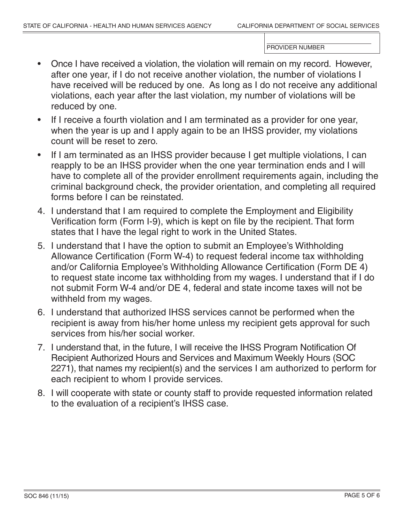- Once I have received a violation, the violation will remain on my record. However, after one year, if I do not receive another violation, the number of violations I have received will be reduced by one. As long as I do not receive any additional violations, each year after the last violation, my number of violations will be reduced by one.
- If I receive a fourth violation and I am terminated as a provider for one year, when the year is up and I apply again to be an IHSS provider, my violations count will be reset to zero.
- If I am terminated as an IHSS provider because I get multiple violations, I can reapply to be an IHSS provider when the one year termination ends and I will have to complete all of the provider enrollment requirements again, including the criminal background check, the provider orientation, and completing all required forms before I can be reinstated.
- 4. I understand that I am required to complete the Employment and Eligibility Verification form (Form I-9), which is kept on file by the recipient. That form states that I have the legal right to work in the United States.
- 5. I understand that I have the option to submit an Employee's Withholding Allowance Certification (Form W-4) to request federal income tax withholding and/or California Employee's Withholding Allowance Certification (Form DE 4) to request state income tax withholding from my wages. I understand that if I do not submit Form W-4 and/or DE 4, federal and state income taxes will not be withheld from my wages.
- 6. I understand that authorized IHSS services cannot be performed when the recipient is away from his/her home unless my recipient gets approval for such services from his/her social worker.
- 7. I understand that, in the future, I will receive the IHSS Program Notification Of Recipient Authorized Hours and Services and Maximum Weekly Hours (SOC 2271), that names my recipient(s) and the services I am authorized to perform for each recipient to whom I provide services.
- 8. I will cooperate with state or county staff to provide requested information related to the evaluation of a recipient's IHSS case.